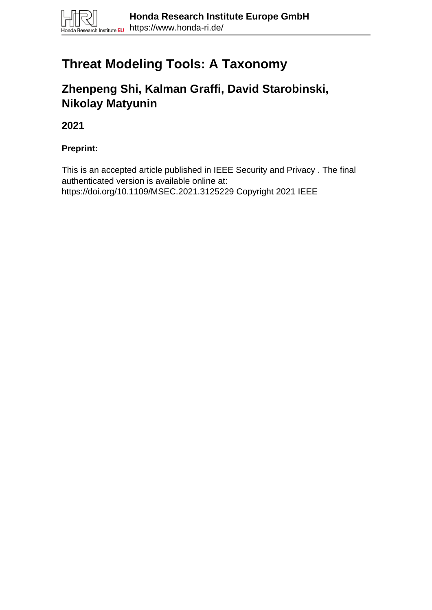# **Threat Modeling Tools: A Taxonomy**

# **Zhenpeng Shi, Kalman Graffi, David Starobinski, Nikolay Matyunin**

**2021**

# **Preprint:**

This is an accepted article published in IEEE Security and Privacy . The final authenticated version is available online at: https://doi.org/10.1109/MSEC.2021.3125229 Copyright 2021 IEEE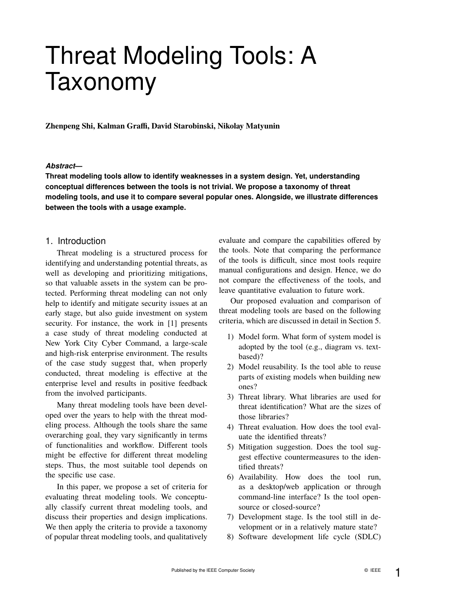# Threat Modeling Tools: A Taxonomy

**Zhenpeng Shi, Kalman Graffi, David Starobinski, Nikolay Matyunin**

#### *Abstract***—**

**Threat modeling tools allow to identify weaknesses in a system design. Yet, understanding conceptual differences between the tools is not trivial. We propose a taxonomy of threat modeling tools, and use it to compare several popular ones. Alongside, we illustrate differences between the tools with a usage example.**

### 1. Introduction

Threat modeling is a structured process for identifying and understanding potential threats, as well as developing and prioritizing mitigations, so that valuable assets in the system can be protected. Performing threat modeling can not only help to identify and mitigate security issues at an early stage, but also guide investment on system security. For instance, the work in [1] presents a case study of threat modeling conducted at New York City Cyber Command, a large-scale and high-risk enterprise environment. The results of the case study suggest that, when properly conducted, threat modeling is effective at the enterprise level and results in positive feedback from the involved participants.

Many threat modeling tools have been developed over the years to help with the threat modeling process. Although the tools share the same overarching goal, they vary significantly in terms of functionalities and workflow. Different tools might be effective for different threat modeling steps. Thus, the most suitable tool depends on the specific use case.

In this paper, we propose a set of criteria for evaluating threat modeling tools. We conceptually classify current threat modeling tools, and discuss their properties and design implications. We then apply the criteria to provide a taxonomy of popular threat modeling tools, and qualitatively

evaluate and compare the capabilities offered by the tools. Note that comparing the performance of the tools is difficult, since most tools require manual configurations and design. Hence, we do not compare the effectiveness of the tools, and leave quantitative evaluation to future work.

Our proposed evaluation and comparison of threat modeling tools are based on the following criteria, which are discussed in detail in Section 5.

- 1) Model form. What form of system model is adopted by the tool (e.g., diagram vs. textbased)?
- 2) Model reusability. Is the tool able to reuse parts of existing models when building new ones?
- 3) Threat library. What libraries are used for threat identification? What are the sizes of those libraries?
- 4) Threat evaluation. How does the tool evaluate the identified threats?
- 5) Mitigation suggestion. Does the tool suggest effective countermeasures to the identified threats?
- 6) Availability. How does the tool run, as a desktop/web application or through command-line interface? Is the tool opensource or closed-source?
- 7) Development stage. Is the tool still in development or in a relatively mature state?
- 8) Software development life cycle (SDLC)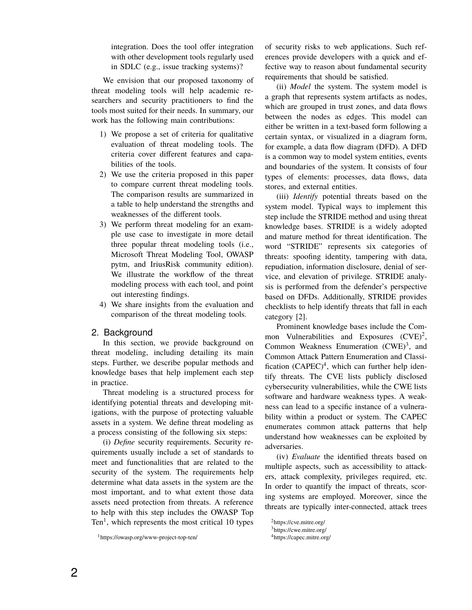integration. Does the tool offer integration with other development tools regularly used in SDLC (e.g., issue tracking systems)?

We envision that our proposed taxonomy of threat modeling tools will help academic researchers and security practitioners to find the tools most suited for their needs. In summary, our work has the following main contributions:

- 1) We propose a set of criteria for qualitative evaluation of threat modeling tools. The criteria cover different features and capabilities of the tools.
- 2) We use the criteria proposed in this paper to compare current threat modeling tools. The comparison results are summarized in a table to help understand the strengths and weaknesses of the different tools.
- 3) We perform threat modeling for an example use case to investigate in more detail three popular threat modeling tools (i.e., Microsoft Threat Modeling Tool, OWASP pytm, and IriusRisk community edition). We illustrate the workflow of the threat modeling process with each tool, and point out interesting findings.
- 4) We share insights from the evaluation and comparison of the threat modeling tools.

# 2. Background

In this section, we provide background on threat modeling, including detailing its main steps. Further, we describe popular methods and knowledge bases that help implement each step in practice.

Threat modeling is a structured process for identifying potential threats and developing mitigations, with the purpose of protecting valuable assets in a system. We define threat modeling as a process consisting of the following six steps:

(i) *Define* security requirements. Security requirements usually include a set of standards to meet and functionalities that are related to the security of the system. The requirements help determine what data assets in the system are the most important, and to what extent those data assets need protection from threats. A reference to help with this step includes the OWASP Top Ten<sup>1</sup>, which represents the most critical 10 types

of security risks to web applications. Such references provide developers with a quick and effective way to reason about fundamental security requirements that should be satisfied.

(ii) *Model* the system. The system model is a graph that represents system artifacts as nodes, which are grouped in trust zones, and data flows between the nodes as edges. This model can either be written in a text-based form following a certain syntax, or visualized in a diagram form, for example, a data flow diagram (DFD). A DFD is a common way to model system entities, events and boundaries of the system. It consists of four types of elements: processes, data flows, data stores, and external entities.

(iii) *Identify* potential threats based on the system model. Typical ways to implement this step include the STRIDE method and using threat knowledge bases. STRIDE is a widely adopted and mature method for threat identification. The word "STRIDE" represents six categories of threats: spoofing identity, tampering with data, repudiation, information disclosure, denial of service, and elevation of privilege. STRIDE analysis is performed from the defender's perspective based on DFDs. Additionally, STRIDE provides checklists to help identify threats that fall in each category [2].

Prominent knowledge bases include the Common Vulnerabilities and Exposures  $(CVE)^2$ , Common Weakness Enumeration  $(CWE)^3$ , and Common Attack Pattern Enumeration and Classification  $(CAPEC)^4$ , which can further help identify threats. The CVE lists publicly disclosed cybersecurity vulnerabilities, while the CWE lists software and hardware weakness types. A weakness can lead to a specific instance of a vulnerability within a product or system. The CAPEC enumerates common attack patterns that help understand how weaknesses can be exploited by adversaries.

(iv) *Evaluate* the identified threats based on multiple aspects, such as accessibility to attackers, attack complexity, privileges required, etc. In order to quantify the impact of threats, scoring systems are employed. Moreover, since the threats are typically inter-connected, attack trees

<sup>1</sup>https://owasp.org/www-project-top-ten/

<sup>2</sup>https://cve.mitre.org/

<sup>3</sup>https://cwe.mitre.org/

<sup>4</sup>https://capec.mitre.org/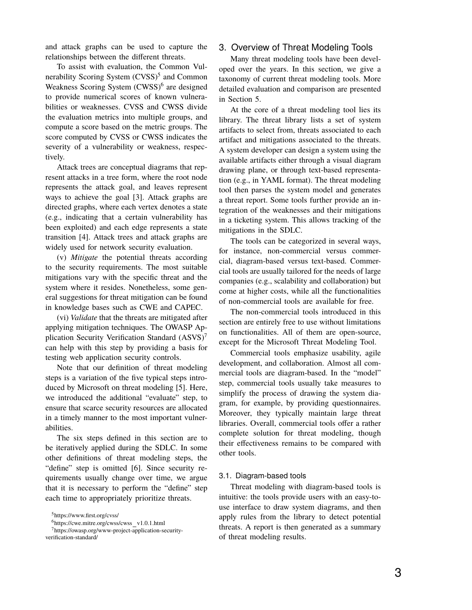and attack graphs can be used to capture the relationships between the different threats.

To assist with evaluation, the Common Vulnerability Scoring System (CVSS)<sup>5</sup> and Common Weakness Scoring System (CWSS)<sup>6</sup> are designed to provide numerical scores of known vulnerabilities or weaknesses. CVSS and CWSS divide the evaluation metrics into multiple groups, and compute a score based on the metric groups. The score computed by CVSS or CWSS indicates the severity of a vulnerability or weakness, respectively.

Attack trees are conceptual diagrams that represent attacks in a tree form, where the root node represents the attack goal, and leaves represent ways to achieve the goal [3]. Attack graphs are directed graphs, where each vertex denotes a state (e.g., indicating that a certain vulnerability has been exploited) and each edge represents a state transition [4]. Attack trees and attack graphs are widely used for network security evaluation.

(v) *Mitigate* the potential threats according to the security requirements. The most suitable mitigations vary with the specific threat and the system where it resides. Nonetheless, some general suggestions for threat mitigation can be found in knowledge bases such as CWE and CAPEC.

(vi) *Validate* that the threats are mitigated after applying mitigation techniques. The OWASP Application Security Verification Standard  $(ASVS)^7$ can help with this step by providing a basis for testing web application security controls.

Note that our definition of threat modeling steps is a variation of the five typical steps introduced by Microsoft on threat modeling [5]. Here, we introduced the additional "evaluate" step, to ensure that scarce security resources are allocated in a timely manner to the most important vulnerabilities.

The six steps defined in this section are to be iteratively applied during the SDLC. In some other definitions of threat modeling steps, the "define" step is omitted [6]. Since security requirements usually change over time, we argue that it is necessary to perform the "define" step each time to appropriately prioritize threats.

## 3. Overview of Threat Modeling Tools

Many threat modeling tools have been developed over the years. In this section, we give a taxonomy of current threat modeling tools. More detailed evaluation and comparison are presented in Section 5.

At the core of a threat modeling tool lies its library. The threat library lists a set of system artifacts to select from, threats associated to each artifact and mitigations associated to the threats. A system developer can design a system using the available artifacts either through a visual diagram drawing plane, or through text-based representation (e.g., in YAML format). The threat modeling tool then parses the system model and generates a threat report. Some tools further provide an integration of the weaknesses and their mitigations in a ticketing system. This allows tracking of the mitigations in the SDLC.

The tools can be categorized in several ways, for instance, non-commercial versus commercial, diagram-based versus text-based. Commercial tools are usually tailored for the needs of large companies (e.g., scalability and collaboration) but come at higher costs, while all the functionalities of non-commercial tools are available for free.

The non-commercial tools introduced in this section are entirely free to use without limitations on functionalities. All of them are open-source, except for the Microsoft Threat Modeling Tool.

Commercial tools emphasize usability, agile development, and collaboration. Almost all commercial tools are diagram-based. In the "model" step, commercial tools usually take measures to simplify the process of drawing the system diagram, for example, by providing questionnaires. Moreover, they typically maintain large threat libraries. Overall, commercial tools offer a rather complete solution for threat modeling, though their effectiveness remains to be compared with other tools.

#### 3.1. Diagram-based tools

Threat modeling with diagram-based tools is intuitive: the tools provide users with an easy-touse interface to draw system diagrams, and then apply rules from the library to detect potential threats. A report is then generated as a summary of threat modeling results.

<sup>5</sup>https://www.first.org/cvss/

 $6$ https://cwe.mitre.org/cwss/cwss\_v1.0.1.html

<sup>7</sup>https://owasp.org/www-project-application-securityverification-standard/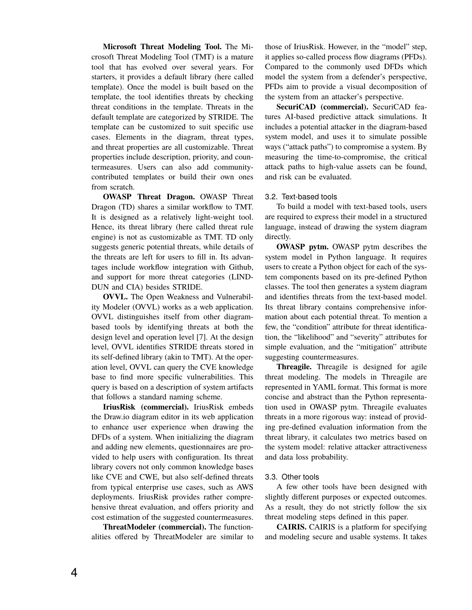**Microsoft Threat Modeling Tool.** The Microsoft Threat Modeling Tool (TMT) is a mature tool that has evolved over several years. For starters, it provides a default library (here called template). Once the model is built based on the template, the tool identifies threats by checking threat conditions in the template. Threats in the default template are categorized by STRIDE. The template can be customized to suit specific use cases. Elements in the diagram, threat types, and threat properties are all customizable. Threat properties include description, priority, and countermeasures. Users can also add communitycontributed templates or build their own ones from scratch.

**OWASP Threat Dragon.** OWASP Threat Dragon (TD) shares a similar workflow to TMT. It is designed as a relatively light-weight tool. Hence, its threat library (here called threat rule engine) is not as customizable as TMT. TD only suggests generic potential threats, while details of the threats are left for users to fill in. Its advantages include workflow integration with Github, and support for more threat categories (LIND-DUN and CIA) besides STRIDE.

**OVVL.** The Open Weakness and Vulnerability Modeler (OVVL) works as a web application. OVVL distinguishes itself from other diagrambased tools by identifying threats at both the design level and operation level [7]. At the design level, OVVL identifies STRIDE threats stored in its self-defined library (akin to TMT). At the operation level, OVVL can query the CVE knowledge base to find more specific vulnerabilities. This query is based on a description of system artifacts that follows a standard naming scheme.

**IriusRisk (commercial).** IriusRisk embeds the Draw.io diagram editor in its web application to enhance user experience when drawing the DFDs of a system. When initializing the diagram and adding new elements, questionnaires are provided to help users with configuration. Its threat library covers not only common knowledge bases like CVE and CWE, but also self-defined threats from typical enterprise use cases, such as AWS deployments. IriusRisk provides rather comprehensive threat evaluation, and offers priority and cost estimation of the suggested countermeasures.

**ThreatModeler (commercial).** The functionalities offered by ThreatModeler are similar to those of IriusRisk. However, in the "model" step, it applies so-called process flow diagrams (PFDs). Compared to the commonly used DFDs which model the system from a defender's perspective, PFDs aim to provide a visual decomposition of the system from an attacker's perspective.

**SecuriCAD (commercial).** SecuriCAD features AI-based predictive attack simulations. It includes a potential attacker in the diagram-based system model, and uses it to simulate possible ways ("attack paths") to compromise a system. By measuring the time-to-compromise, the critical attack paths to high-value assets can be found, and risk can be evaluated.

#### 3.2. Text-based tools

To build a model with text-based tools, users are required to express their model in a structured language, instead of drawing the system diagram directly.

**OWASP pytm.** OWASP pytm describes the system model in Python language. It requires users to create a Python object for each of the system components based on its pre-defined Python classes. The tool then generates a system diagram and identifies threats from the text-based model. Its threat library contains comprehensive information about each potential threat. To mention a few, the "condition" attribute for threat identification, the "likelihood" and "severity" attributes for simple evaluation, and the "mitigation" attribute suggesting countermeasures.

**Threagile.** Threagile is designed for agile threat modeling. The models in Threagile are represented in YAML format. This format is more concise and abstract than the Python representation used in OWASP pytm. Threagile evaluates threats in a more rigorous way: instead of providing pre-defined evaluation information from the threat library, it calculates two metrics based on the system model: relative attacker attractiveness and data loss probability.

#### 3.3. Other tools

A few other tools have been designed with slightly different purposes or expected outcomes. As a result, they do not strictly follow the six threat modeling steps defined in this paper.

**CAIRIS.** CAIRIS is a platform for specifying and modeling secure and usable systems. It takes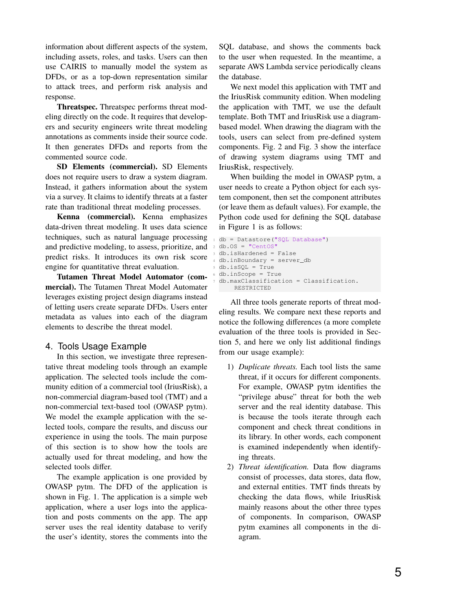information about different aspects of the system, including assets, roles, and tasks. Users can then use CAIRIS to manually model the system as DFDs, or as a top-down representation similar to attack trees, and perform risk analysis and response.

**Threatspec.** Threatspec performs threat modeling directly on the code. It requires that developers and security engineers write threat modeling annotations as comments inside their source code. It then generates DFDs and reports from the commented source code.

**SD Elements (commercial).** SD Elements does not require users to draw a system diagram. Instead, it gathers information about the system via a survey. It claims to identify threats at a faster rate than traditional threat modeling processes.

**Kenna (commercial).** Kenna emphasizes data-driven threat modeling. It uses data science techniques, such as natural language processing and predictive modeling, to assess, prioritize, and predict risks. It introduces its own risk score engine for quantitative threat evaluation.

**Tutamen Threat Model Automator (commercial).** The Tutamen Threat Model Automater leverages existing project design diagrams instead of letting users create separate DFDs. Users enter metadata as values into each of the diagram elements to describe the threat model.

# 4. Tools Usage Example

In this section, we investigate three representative threat modeling tools through an example application. The selected tools include the community edition of a commercial tool (IriusRisk), a non-commercial diagram-based tool (TMT) and a non-commercial text-based tool (OWASP pytm). We model the example application with the selected tools, compare the results, and discuss our experience in using the tools. The main purpose of this section is to show how the tools are actually used for threat modeling, and how the selected tools differ.

The example application is one provided by OWASP pytm. The DFD of the application is shown in Fig. 1. The application is a simple web application, where a user logs into the application and posts comments on the app. The app server uses the real identity database to verify the user's identity, stores the comments into the

SQL database, and shows the comments back to the user when requested. In the meantime, a separate AWS Lambda service periodically cleans the database.

We next model this application with TMT and the IriusRisk community edition. When modeling the application with TMT, we use the default template. Both TMT and IriusRisk use a diagrambased model. When drawing the diagram with the tools, users can select from pre-defined system components. Fig. 2 and Fig. 3 show the interface of drawing system diagrams using TMT and IriusRisk, respectively.

When building the model in OWASP pytm, a user needs to create a Python object for each system component, then set the component attributes (or leave them as default values). For example, the Python code used for defining the SQL database in Figure 1 is as follows:

```
db = Datastore("SQL Database")
2 \text{ db.OS} = "CentOS"db.isHardened = False
4 db.inBoundary = server_db
5 db.isSQL = True
6 db.inScope = True
 7 db.maxClassification = Classification.
      RESTRICTED
```
All three tools generate reports of threat modeling results. We compare next these reports and notice the following differences (a more complete evaluation of the three tools is provided in Section 5, and here we only list additional findings from our usage example):

- 1) *Duplicate threats.* Each tool lists the same threat, if it occurs for different components. For example, OWASP pytm identifies the "privilege abuse" threat for both the web server and the real identity database. This is because the tools iterate through each component and check threat conditions in its library. In other words, each component is examined independently when identifying threats.
- 2) *Threat identification.* Data flow diagrams consist of processes, data stores, data flow, and external entities. TMT finds threats by checking the data flows, while IriusRisk mainly reasons about the other three types of components. In comparison, OWASP pytm examines all components in the diagram.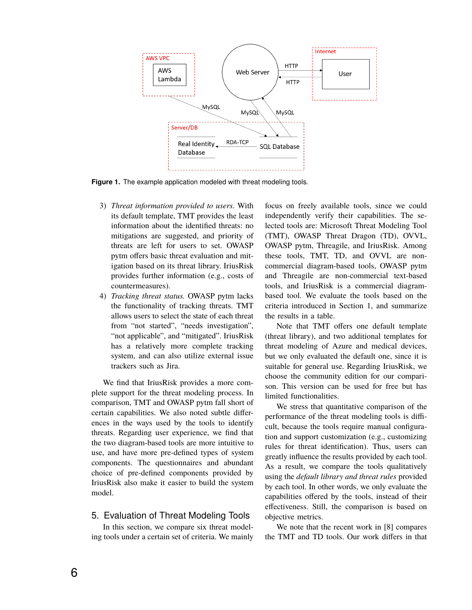

**Figure 1.** The example application modeled with threat modeling tools.

- 3) *Threat information provided to users.* With its default template, TMT provides the least information about the identified threats: no mitigations are suggested, and priority of threats are left for users to set. OWASP pytm offers basic threat evaluation and mitigation based on its threat library. IriusRisk provides further information (e.g., costs of countermeasures).
- 4) *Tracking threat status.* OWASP pytm lacks the functionality of tracking threats. TMT allows users to select the state of each threat from "not started", "needs investigation", "not applicable", and "mitigated". IriusRisk has a relatively more complete tracking system, and can also utilize external issue trackers such as Jira.

We find that IriusRisk provides a more complete support for the threat modeling process. In comparison, TMT and OWASP pytm fall short of certain capabilities. We also noted subtle differences in the ways used by the tools to identify threats. Regarding user experience, we find that the two diagram-based tools are more intuitive to use, and have more pre-defined types of system components. The questionnaires and abundant choice of pre-defined components provided by IriusRisk also make it easier to build the system model.

# 5. Evaluation of Threat Modeling Tools

In this section, we compare six threat modeling tools under a certain set of criteria. We mainly focus on freely available tools, since we could independently verify their capabilities. The selected tools are: Microsoft Threat Modeling Tool (TMT), OWASP Threat Dragon (TD), OVVL, OWASP pytm, Threagile, and IriusRisk. Among these tools, TMT, TD, and OVVL are noncommercial diagram-based tools, OWASP pytm and Threagile are non-commercial text-based tools, and IriusRisk is a commercial diagrambased tool. We evaluate the tools based on the criteria introduced in Section 1, and summarize the results in a table.

Note that TMT offers one default template (threat library), and two additional templates for threat modeling of Azure and medical devices, but we only evaluated the default one, since it is suitable for general use. Regarding IriusRisk, we choose the community edition for our comparison. This version can be used for free but has limited functionalities.

We stress that quantitative comparison of the performance of the threat modeling tools is difficult, because the tools require manual configuration and support customization (e.g., customizing rules for threat identification). Thus, users can greatly influence the results provided by each tool. As a result, we compare the tools qualitatively using the *default library and threat rules* provided by each tool. In other words, we only evaluate the capabilities offered by the tools, instead of their effectiveness. Still, the comparison is based on objective metrics.

We note that the recent work in [8] compares the TMT and TD tools. Our work differs in that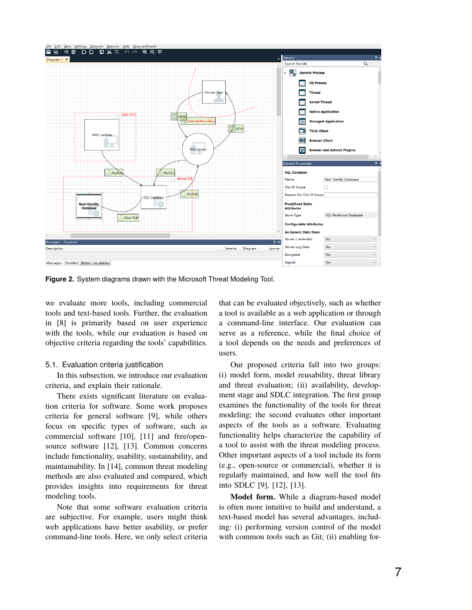

**Figure 2.** System diagrams drawn with the Microsoft Threat Modeling Tool.

we evaluate more tools, including commercial tools and text-based tools. Further, the evaluation in [8] is primarily based on user experience with the tools, while our evaluation is based on objective criteria regarding the tools' capabilities.

#### 5.1. Evaluation criteria justification

In this subsection, we introduce our evaluation criteria, and explain their rationale.

There exists significant literature on evaluation criteria for software. Some work proposes criteria for general software [9], while others focus on specific types of software, such as commercial software [10], [11] and free/opensource software [12], [13]. Common concerns include functionality, usability, sustainability, and maintainability. In [14], common threat modeling methods are also evaluated and compared, which provides insights into requirements for threat modeling tools.

Note that some software evaluation criteria are subjective. For example, users might think web applications have better usability, or prefer command-line tools. Here, we only select criteria that can be evaluated objectively, such as whether a tool is available as a web application or through a command-line interface. Our evaluation can serve as a reference, while the final choice of a tool depends on the needs and preferences of users.

Our proposed criteria fall into two groups: (i) model form, model reusability, threat library and threat evaluation; (ii) availability, development stage and SDLC integration. The first group examines the functionality of the tools for threat modeling; the second evaluates other important aspects of the tools as a software. Evaluating functionality helps characterize the capability of a tool to assist with the threat modeling process. Other important aspects of a tool include its form (e.g., open-source or commercial), whether it is regularly maintained, and how well the tool fits into SDLC [9], [12], [13].

**Model form.** While a diagram-based model is often more intuitive to build and understand, a text-based model has several advantages, including: (i) performing version control of the model with common tools such as Git; (ii) enabling for-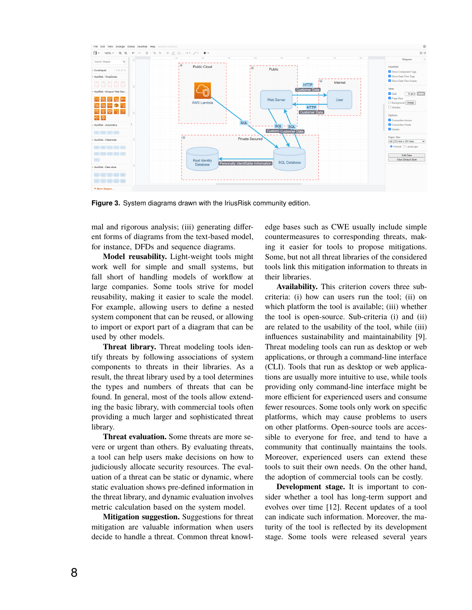

**Figure 3.** System diagrams drawn with the IriusRisk community edition.

mal and rigorous analysis; (iii) generating different forms of diagrams from the text-based model, for instance, DFDs and sequence diagrams.

**Model reusability.** Light-weight tools might work well for simple and small systems, but fall short of handling models of workflow at large companies. Some tools strive for model reusability, making it easier to scale the model. For example, allowing users to define a nested system component that can be reused, or allowing to import or export part of a diagram that can be used by other models.

**Threat library.** Threat modeling tools identify threats by following associations of system components to threats in their libraries. As a result, the threat library used by a tool determines the types and numbers of threats that can be found. In general, most of the tools allow extending the basic library, with commercial tools often providing a much larger and sophisticated threat library.

**Threat evaluation.** Some threats are more severe or urgent than others. By evaluating threats, a tool can help users make decisions on how to judiciously allocate security resources. The evaluation of a threat can be static or dynamic, where static evaluation shows pre-defined information in the threat library, and dynamic evaluation involves metric calculation based on the system model.

**Mitigation suggestion.** Suggestions for threat mitigation are valuable information when users decide to handle a threat. Common threat knowledge bases such as CWE usually include simple countermeasures to corresponding threats, making it easier for tools to propose mitigations. Some, but not all threat libraries of the considered tools link this mitigation information to threats in their libraries.

**Availability.** This criterion covers three subcriteria: (i) how can users run the tool; (ii) on which platform the tool is available; (iii) whether the tool is open-source. Sub-criteria (i) and (ii) are related to the usability of the tool, while (iii) influences sustainability and maintainability [9]. Threat modeling tools can run as desktop or web applications, or through a command-line interface (CLI). Tools that run as desktop or web applications are usually more intuitive to use, while tools providing only command-line interface might be more efficient for experienced users and consume fewer resources. Some tools only work on specific platforms, which may cause problems to users on other platforms. Open-source tools are accessible to everyone for free, and tend to have a community that continually maintains the tools. Moreover, experienced users can extend these tools to suit their own needs. On the other hand, the adoption of commercial tools can be costly.

**Development stage.** It is important to consider whether a tool has long-term support and evolves over time [12]. Recent updates of a tool can indicate such information. Moreover, the maturity of the tool is reflected by its development stage. Some tools were released several years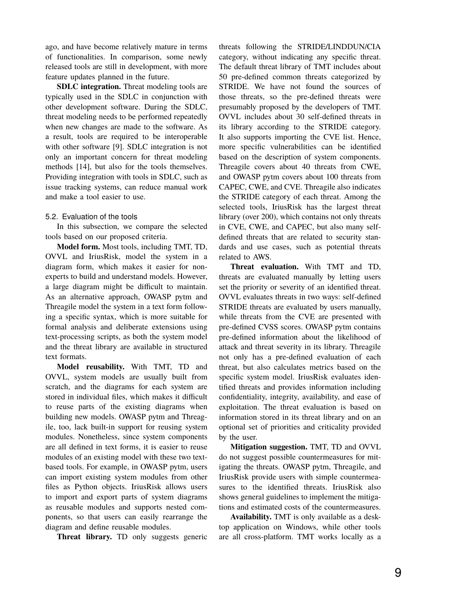ago, and have become relatively mature in terms of functionalities. In comparison, some newly released tools are still in development, with more feature updates planned in the future.

**SDLC integration.** Threat modeling tools are typically used in the SDLC in conjunction with other development software. During the SDLC, threat modeling needs to be performed repeatedly when new changes are made to the software. As a result, tools are required to be interoperable with other software [9]. SDLC integration is not only an important concern for threat modeling methods [14], but also for the tools themselves. Providing integration with tools in SDLC, such as issue tracking systems, can reduce manual work and make a tool easier to use.

#### 5.2. Evaluation of the tools

In this subsection, we compare the selected tools based on our proposed criteria.

**Model form.** Most tools, including TMT, TD, OVVL and IriusRisk, model the system in a diagram form, which makes it easier for nonexperts to build and understand models. However, a large diagram might be difficult to maintain. As an alternative approach, OWASP pytm and Threagile model the system in a text form following a specific syntax, which is more suitable for formal analysis and deliberate extensions using text-processing scripts, as both the system model and the threat library are available in structured text formats.

**Model reusability.** With TMT, TD and OVVL, system models are usually built from scratch, and the diagrams for each system are stored in individual files, which makes it difficult to reuse parts of the existing diagrams when building new models. OWASP pytm and Threagile, too, lack built-in support for reusing system modules. Nonetheless, since system components are all defined in text forms, it is easier to reuse modules of an existing model with these two textbased tools. For example, in OWASP pytm, users can import existing system modules from other files as Python objects. IriusRisk allows users to import and export parts of system diagrams as reusable modules and supports nested components, so that users can easily rearrange the diagram and define reusable modules.

**Threat library.** TD only suggests generic

threats following the STRIDE/LINDDUN/CIA category, without indicating any specific threat. The default threat library of TMT includes about 50 pre-defined common threats categorized by STRIDE. We have not found the sources of those threats, so the pre-defined threats were presumably proposed by the developers of TMT. OVVL includes about 30 self-defined threats in its library according to the STRIDE category. It also supports importing the CVE list. Hence, more specific vulnerabilities can be identified based on the description of system components. Threagile covers about 40 threats from CWE, and OWASP pytm covers about 100 threats from CAPEC, CWE, and CVE. Threagile also indicates the STRIDE category of each threat. Among the selected tools, IriusRisk has the largest threat library (over 200), which contains not only threats in CVE, CWE, and CAPEC, but also many selfdefined threats that are related to security standards and use cases, such as potential threats related to AWS.

**Threat evaluation.** With TMT and TD, threats are evaluated manually by letting users set the priority or severity of an identified threat. OVVL evaluates threats in two ways: self-defined STRIDE threats are evaluated by users manually, while threats from the CVE are presented with pre-defined CVSS scores. OWASP pytm contains pre-defined information about the likelihood of attack and threat severity in its library. Threagile not only has a pre-defined evaluation of each threat, but also calculates metrics based on the specific system model. IriusRisk evaluates identified threats and provides information including confidentiality, integrity, availability, and ease of exploitation. The threat evaluation is based on information stored in its threat library and on an optional set of priorities and criticality provided by the user.

**Mitigation suggestion.** TMT, TD and OVVL do not suggest possible countermeasures for mitigating the threats. OWASP pytm, Threagile, and IriusRisk provide users with simple countermeasures to the identified threats. IriusRisk also shows general guidelines to implement the mitigations and estimated costs of the countermeasures.

**Availability.** TMT is only available as a desktop application on Windows, while other tools are all cross-platform. TMT works locally as a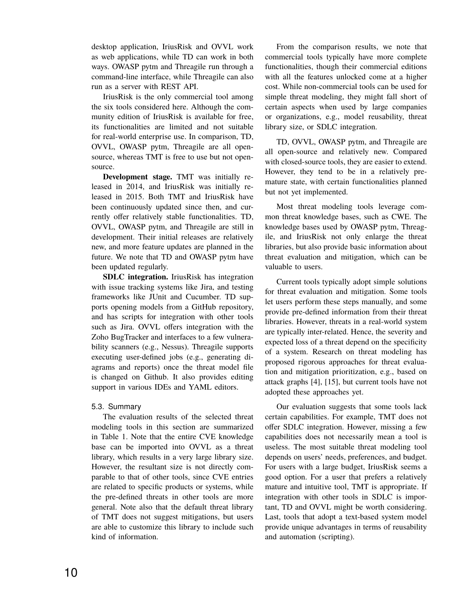desktop application, IriusRisk and OVVL work as web applications, while TD can work in both ways. OWASP pytm and Threagile run through a command-line interface, while Threagile can also run as a server with REST API.

IriusRisk is the only commercial tool among the six tools considered here. Although the community edition of IriusRisk is available for free, its functionalities are limited and not suitable for real-world enterprise use. In comparison, TD, OVVL, OWASP pytm, Threagile are all opensource, whereas TMT is free to use but not opensource.

**Development stage.** TMT was initially released in 2014, and IriusRisk was initially released in 2015. Both TMT and IriusRisk have been continuously updated since then, and currently offer relatively stable functionalities. TD, OVVL, OWASP pytm, and Threagile are still in development. Their initial releases are relatively new, and more feature updates are planned in the future. We note that TD and OWASP pytm have been updated regularly.

**SDLC integration.** IriusRisk has integration with issue tracking systems like Jira, and testing frameworks like JUnit and Cucumber. TD supports opening models from a GitHub repository, and has scripts for integration with other tools such as Jira. OVVL offers integration with the Zoho BugTracker and interfaces to a few vulnerability scanners (e.g., Nessus). Threagile supports executing user-defined jobs (e.g., generating diagrams and reports) once the threat model file is changed on Github. It also provides editing support in various IDEs and YAML editors.

#### 5.3. Summary

The evaluation results of the selected threat modeling tools in this section are summarized in Table 1. Note that the entire CVE knowledge base can be imported into OVVL as a threat library, which results in a very large library size. However, the resultant size is not directly comparable to that of other tools, since CVE entries are related to specific products or systems, while the pre-defined threats in other tools are more general. Note also that the default threat library of TMT does not suggest mitigations, but users are able to customize this library to include such kind of information.

From the comparison results, we note that commercial tools typically have more complete functionalities, though their commercial editions with all the features unlocked come at a higher cost. While non-commercial tools can be used for simple threat modeling, they might fall short of certain aspects when used by large companies or organizations, e.g., model reusability, threat library size, or SDLC integration.

TD, OVVL, OWASP pytm, and Threagile are all open-source and relatively new. Compared with closed-source tools, they are easier to extend. However, they tend to be in a relatively premature state, with certain functionalities planned but not yet implemented.

Most threat modeling tools leverage common threat knowledge bases, such as CWE. The knowledge bases used by OWASP pytm, Threagile, and IriusRisk not only enlarge the threat libraries, but also provide basic information about threat evaluation and mitigation, which can be valuable to users.

Current tools typically adopt simple solutions for threat evaluation and mitigation. Some tools let users perform these steps manually, and some provide pre-defined information from their threat libraries. However, threats in a real-world system are typically inter-related. Hence, the severity and expected loss of a threat depend on the specificity of a system. Research on threat modeling has proposed rigorous approaches for threat evaluation and mitigation prioritization, e.g., based on attack graphs [4], [15], but current tools have not adopted these approaches yet.

Our evaluation suggests that some tools lack certain capabilities. For example, TMT does not offer SDLC integration. However, missing a few capabilities does not necessarily mean a tool is useless. The most suitable threat modeling tool depends on users' needs, preferences, and budget. For users with a large budget, IriusRisk seems a good option. For a user that prefers a relatively mature and intuitive tool, TMT is appropriate. If integration with other tools in SDLC is important, TD and OVVL might be worth considering. Last, tools that adopt a text-based system model provide unique advantages in terms of reusability and automation (scripting).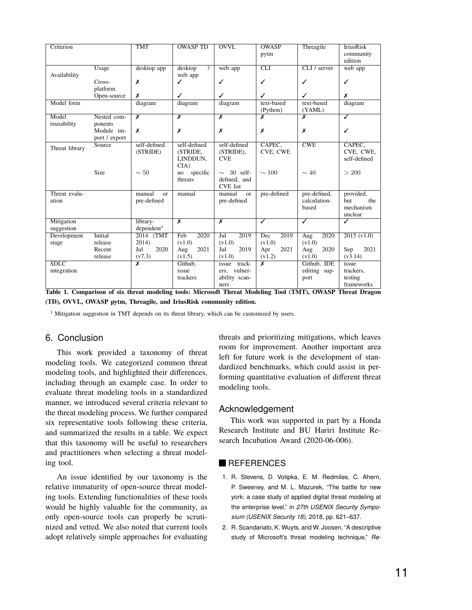| Criterion                  |                              | <b>TMT</b>                         | <b>OWASP TD</b>                                 | <b>OVVL</b>                                                 | <b>OWASP</b><br>pytm            | Threagile                             | <b>IriusRisk</b><br>community<br>edition               |
|----------------------------|------------------------------|------------------------------------|-------------------------------------------------|-------------------------------------------------------------|---------------------------------|---------------------------------------|--------------------------------------------------------|
| Availability               | Usage                        | desktop app                        | desktop<br>web app                              | web app                                                     | <b>CLI</b>                      | CLI / server                          | web app                                                |
|                            | Cross-<br>platform           | X                                  | ✓                                               | ✓                                                           | ✓                               | ✓                                     | ✓                                                      |
|                            | Open-source                  | X                                  | ✓                                               | ✓                                                           | ✓                               | ✓                                     | x                                                      |
| Model form                 |                              | diagram                            | diagram                                         | diagram                                                     | text-based<br>(Python)          | text-based<br>(YAML)                  | diagram                                                |
| Model<br>reusability       | Nested com-<br>ponents       | $\overline{\mathbf{x}}$            | $\overline{\mathbf{x}}$                         | $\overline{\mathsf{x}}$                                     | $\overline{\mathsf{x}}$         | $\overline{\mathsf{x}}$               | $\overline{\checkmark}$                                |
|                            | Module im-<br>port / export  | Х                                  | Х                                               | Х                                                           | Х                               | Х                                     | ✓                                                      |
| Threat library             | Source                       | self-defined<br>(STRIDE)           | self-defined<br>(STRIDE,<br>LINDDUN,<br>$CIA$ ) | self-defined<br>(STRIDE),<br><b>CVE</b>                     | CAPEC,<br>CVE, CWE              | CWE                                   | CAPEC,<br>CVE, CWE,<br>self-defined                    |
|                            | Size                         | $\sim 50$                          | specific<br>no<br>threats                       | $\sim$ 30 self-<br>defined, and<br><b>CVE</b> list          | $\sim$ 100                      | $\sim$ 40                             | > 200                                                  |
| Threat evalu-<br>ation     |                              | manual<br>$\alpha$<br>pre-defined  | manual                                          | manual<br><sub>or</sub><br>pre-defined                      | pre-defined                     | pre-defined,<br>calculation-<br>based | provided,<br>the<br><b>but</b><br>mechanism<br>unclear |
| Mitigation<br>suggestion   |                              | library-<br>dependent <sup>1</sup> | $\overline{\mathsf{x}}$                         | $\overline{\mathbf{x}}$                                     | $\overline{\checkmark}$         | $\overline{\checkmark}$               | ✓                                                      |
| Development                | <b>Initial</b>               | 2014<br>(TMT)                      | 2020<br>Feb                                     | 2019<br>Jul                                                 | 2019<br>Dec                     | 2020<br>Aug                           | 2015 (v1.0)                                            |
| stage                      | release<br>Recent<br>release | 2014)<br>2020<br>Jul<br>(v7.3)     | (v1.0)<br>2021<br>Aug<br>(v1.5)                 | (v1.0)<br>2019<br>Jul<br>(v1.0)                             | (v1.0)<br>2021<br>Apr<br>(v1.2) | (v1.0)<br>2020<br>Aug<br>(v1.0)       | 2021<br>Sep<br>(v3.14)                                 |
| <b>SDLC</b><br>integration |                              | $\overline{\mathbf{x}}$            | Github,<br>issue<br>trackers                    | issue<br>track-<br>vulner-<br>ers.<br>ability scan-<br>ners | x                               | Github, IDE<br>editing sup-<br>port   | issue<br>trackers.<br>testing<br>frameworks            |

**Table 1. Comparison of six threat modeling tools: Microsoft Threat Modeling Tool (TMT), OWASP Threat Dragon (TD), OVVL, OWASP pytm, Threagile, and IriusRisk community edition.**

<sup>1</sup> Mitigation suggestion in TMT depends on its threat library, which can be customized by users.

#### 6. Conclusion

This work provided a taxonomy of threat modeling tools. We categorized common threat modeling tools, and highlighted their differences, including through an example case. In order to evaluate threat modeling tools in a standardized manner, we introduced several criteria relevant to the threat modeling process. We further compared six representative tools following these criteria, and summarized the results in a table. We expect that this taxonomy will be useful to researchers and practitioners when selecting a threat modeling tool.

An issue identified by our taxonomy is the relative immaturity of open-source threat modeling tools. Extending functionalities of these tools would be highly valuable for the community, as only open-source tools can properly be scrutinized and vetted. We also noted that current tools adopt relatively simple approaches for evaluating threats and prioritizing mitigations, which leaves room for improvement. Another important area left for future work is the development of standardized benchmarks, which could assist in performing quantitative evaluation of different threat modeling tools.

#### Acknowledgement

This work was supported in part by a Honda Research Institute and BU Hariri Institute Research Incubation Award (2020-06-006).

# **REFERENCES**

- 1. R. Stevens, D. Votipka, E. M. Redmiles, C. Ahern, P. Sweeney, and M. L. Mazurek, "The battle for new york: a case study of applied digital threat modeling at the enterprise level," in *27th USENIX Security Symposium (USENIX Security 18)*, 2018, pp. 621–637.
- 2. R. Scandariato, K. Wuyts, and W. Joosen, "A descriptive study of Microsoft's threat modeling technique," *Re-*